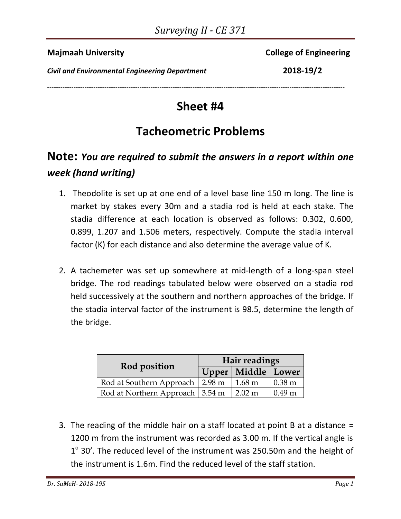**Majmaah University** College of Engineering

*Civil and Environmental Engineering Department* **2018-19/2**

**Sheet #4** 

---------------------------------------------------------------------------------------------------------------------------------------

## **Tacheometric Problems**

## **Note:** *You are required to submit the answers in a report within one week (hand writing)*

- 1. Theodolite is set up at one end of a level base line 150 m long. The line is market by stakes every 30m and a stadia rod is held at each stake. The stadia difference at each location is observed as follows: 0.302, 0.600, 0.899, 1.207 and 1.506 meters, respectively. Compute the stadia interval factor (K) for each distance and also determine the average value of K.
- 2. A tachemeter was set up somewhere at mid‐length of a long‐span steel bridge. The rod readings tabulated below were observed on a stadia rod held successively at the southern and northern approaches of the bridge. If the stadia interval factor of the instrument is 98.5, determine the length of the bridge.

|                                   | Hair readings |                        |                   |  |
|-----------------------------------|---------------|------------------------|-------------------|--|
| Rod position                      |               | Upper   Middle   Lower |                   |  |
| Rod at Southern Approach 2.98 m   |               | $1.68 \text{ m}$       | $0.38 \text{ m}$  |  |
| Rod at Northern Approach   3.54 m |               | $2.02 \text{ m}$       | 0.49 <sub>m</sub> |  |

3. The reading of the middle hair on a staff located at point B at a distance = 1200 m from the instrument was recorded as 3.00 m. If the vertical angle is  $1^{\circ}$  30'. The reduced level of the instrument was 250.50m and the height of the instrument is 1.6m. Find the reduced level of the staff station.